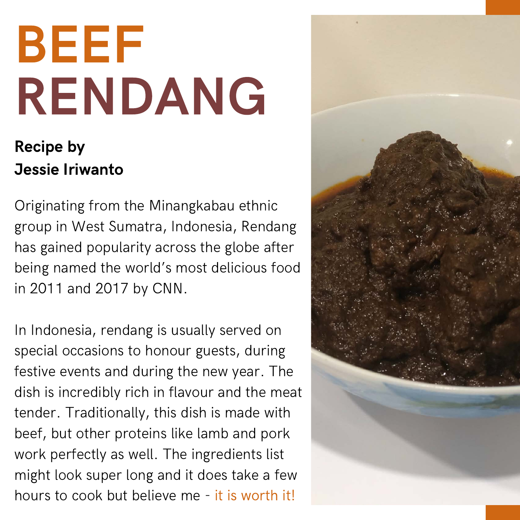## BEEF RENDANG

### Recipe by Jessie Iriwanto

Originating from the Minangkabau ethnic group in West Sumatra, Indonesia, Rendang has gained popularity across the globe after being named the world's most delicious food in 2011 and 2017 by CNN.

In Indonesia, rendang is usually served on special occasions to honour guests, during festive events and during the new year. The dish is incredibly rich in flavour and the meat tender. Traditionally, this dish is made with beef, but other proteins like lamb and pork work perfectly as well. The ingredients list might look super long and it does take a few hours to cook but believe me - it is worth it!

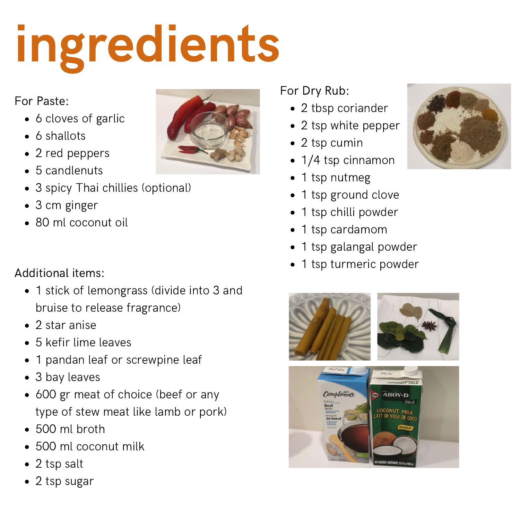# ingredients

#### For Paste:

- 6 cloves of garlic
- 6 shallots
- 2 red peppers
- 5 candlenuts
- 3 spicy Thai chillies (optional)
- 3 cm ginger
- 80 ml coconut oil

#### Additional items:

- 1 stick of lemongrass (divide into 3 and bruise to release fragrance)
- 2 star anise
- 5 kefir lime leaves
- 1 pandan leaf or screwpine leaf  $\bullet$
- 3 bay leaves
- 600 gr meat of choice (beef or any type of stew meat like lamb or pork)
- 500 ml broth
- 500 ml coconut milk
- 2 tsp salt
- 2 tsp sugar



For Dry Rub:

- 2 tbsp coriander
- 2 tsp white pepper
- 2 tsp cumin
- 1/4 tsp cinnamon
- 1 tsp nutmeg
- 1 tsp ground clove
- 1 tsp chilli powder
- 1 tsp cardamom
- 1 tsp galangal powder
- 1 tsp turmeric powder



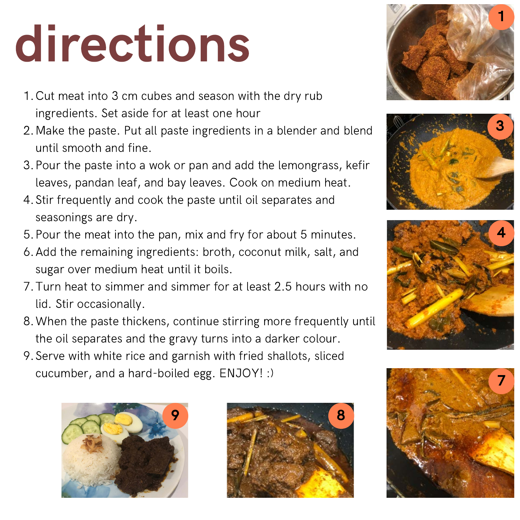## directions

- 1. Cut meat into 3 cm cubes and season with the dry rub ingredients. Set aside for at least one hour
- Make the paste. Put all paste ingredients in a blender and blend 2. until smooth and fine.
- 3. Pour the paste into a wok or pan and add the lemongrass, kefir leaves, pandan leaf, and bay leaves. Cook on medium heat.
- 4. Stir frequently and cook the paste until oil separates and seasonings are dry.
- 5. Pour the meat into the pan, mix and fry for about 5 minutes.
- Add the remaining ingredients: broth, coconut milk, salt, and 6. sugar over medium heat until it boils.
- 7. Turn heat to simmer and simmer for at least 2.5 hours with no lid. Stir occasionally.
- When the paste thickens, continue stirring more frequently until 8. the oil separates and the gravy turns into a darker colour.
- 9. Serve with white rice and garnish with fried shallots, sliced cucumber, and a hard-boiled egg. ENJOY! :)